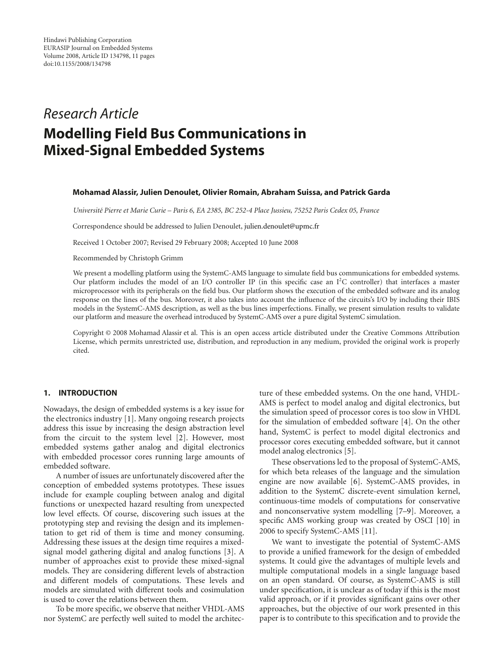# *Research Article* **Modelling Field Bus Communications in Mixed-Signal Embedded Systems**

#### **Mohamad Alassir, Julien Denoulet, Olivier Romain, Abraham Suissa, and Patrick Garda**

*Universit´e Pierre et Marie Curie – Paris 6, EA 2385, BC 252-4 Place Jussieu, 75252 Paris Cedex 05, France*

Correspondence should be addressed to Julien Denoulet, julien.denoulet@upmc.fr

Received 1 October 2007; Revised 29 February 2008; Accepted 10 June 2008

#### Recommended by Christoph Grimm

We present a modelling platform using the SystemC-AMS language to simulate field bus communications for embedded systems. Our platform includes the model of an I/O controller IP (in this specific case an  $I<sup>2</sup>C$  controller) that interfaces a master microprocessor with its peripherals on the field bus. Our platform shows the execution of the embedded software and its analog response on the lines of the bus. Moreover, it also takes into account the influence of the circuits's I/O by including their IBIS models in the SystemC-AMS description, as well as the bus lines imperfections. Finally, we present simulation results to validate our platform and measure the overhead introduced by SystemC-AMS over a pure digital SystemC simulation.

Copyright © 2008 Mohamad Alassir et al. This is an open access article distributed under the Creative Commons Attribution License, which permits unrestricted use, distribution, and reproduction in any medium, provided the original work is properly cited.

# **1. INTRODUCTION**

Nowadays, the design of embedded systems is a key issue for the electronics industry [1]. Many ongoing research projects address this issue by increasing the design abstraction level from the circuit to the system level [2]. However, most embedded systems gather analog and digital electronics with embedded processor cores running large amounts of embedded software.

A number of issues are unfortunately discovered after the conception of embedded systems prototypes. These issues include for example coupling between analog and digital functions or unexpected hazard resulting from unexpected low level effects. Of course, discovering such issues at the prototyping step and revising the design and its implementation to get rid of them is time and money consuming. Addressing these issues at the design time requires a mixedsignal model gathering digital and analog functions [3]. A number of approaches exist to provide these mixed-signal models. They are considering different levels of abstraction and different models of computations. These levels and models are simulated with different tools and cosimulation is used to cover the relations between them.

To be more specific, we observe that neither VHDL-AMS nor SystemC are perfectly well suited to model the architecture of these embedded systems. On the one hand, VHDL-AMS is perfect to model analog and digital electronics, but the simulation speed of processor cores is too slow in VHDL for the simulation of embedded software [4]. On the other hand, SystemC is perfect to model digital electronics and processor cores executing embedded software, but it cannot model analog electronics [5].

These observations led to the proposal of SystemC-AMS, for which beta releases of the language and the simulation engine are now available [6]. SystemC-AMS provides, in addition to the SystemC discrete-event simulation kernel, continuous-time models of computations for conservative and nonconservative system modelling [7–9]. Moreover, a specific AMS working group was created by OSCI [10] in 2006 to specify SystemC-AMS [11].

We want to investigate the potential of SystemC-AMS to provide a unified framework for the design of embedded systems. It could give the advantages of multiple levels and multiple computational models in a single language based on an open standard. Of course, as SystemC-AMS is still under specification, it is unclear as of today if this is the most valid approach, or if it provides significant gains over other approaches, but the objective of our work presented in this paper is to contribute to this specification and to provide the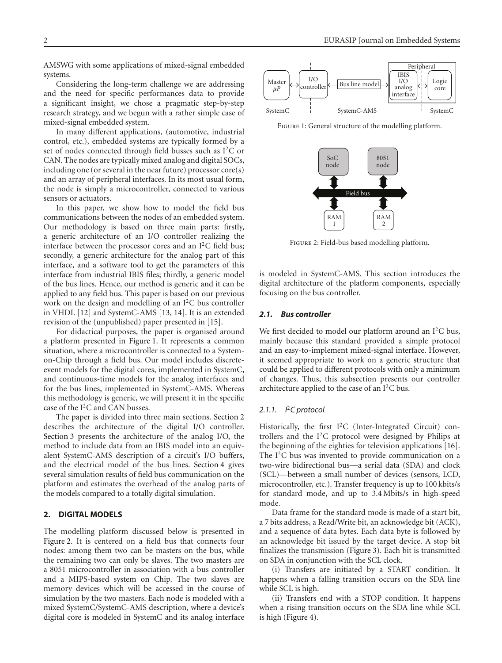AMSWG with some applications of mixed-signal embedded systems.

Considering the long-term challenge we are addressing and the need for specific performances data to provide a significant insight, we chose a pragmatic step-by-step research strategy, and we begun with a rather simple case of mixed-signal embedded system.

In many different applications, (automotive, industrial control, etc.), embedded systems are typically formed by a set of nodes connected through field busses such as I2C or CAN. The nodes are typically mixed analog and digital SOCs, including one (or several in the near future) processor core(s) and an array of peripheral interfaces. In its most usual form, the node is simply a microcontroller, connected to various sensors or actuators.

In this paper, we show how to model the field bus communications between the nodes of an embedded system. Our methodology is based on three main parts: firstly, a generic architecture of an I/O controller realizing the interface between the processor cores and an  $I<sup>2</sup>C$  field bus; secondly, a generic architecture for the analog part of this interface, and a software tool to get the parameters of this interface from industrial IBIS files; thirdly, a generic model of the bus lines. Hence, our method is generic and it can be applied to any field bus. This paper is based on our previous work on the design and modelling of an I2C bus controller in VHDL [12] and SystemC-AMS [13, 14]. It is an extended revision of the (unpublished) paper presented in [15].

For didactical purposes, the paper is organised around a platform presented in Figure 1. It represents a common situation, where a microcontroller is connected to a Systemon-Chip through a field bus. Our model includes discreteevent models for the digital cores, implemented in SystemC, and continuous-time models for the analog interfaces and for the bus lines, implemented in SystemC-AMS. Whereas this methodology is generic, we will present it in the specific case of the I<sup>2</sup>C and CAN busses.

The paper is divided into three main sections. Section 2 describes the architecture of the digital I/O controller. Section 3 presents the architecture of the analog I/O, the method to include data from an IBIS model into an equivalent SystemC-AMS description of a circuit's I/O buffers, and the electrical model of the bus lines. Section 4 gives several simulation results of field bus communication on the platform and estimates the overhead of the analog parts of the models compared to a totally digital simulation.

# **2. DIGITAL MODELS**

The modelling platform discussed below is presented in Figure 2. It is centered on a field bus that connects four nodes: among them two can be masters on the bus, while the remaining two can only be slaves. The two masters are a 8051 microcontroller in association with a bus controller and a MIPS-based system on Chip. The two slaves are memory devices which will be accessed in the course of simulation by the two masters. Each node is modeled with a mixed SystemC/SystemC-AMS description, where a device's digital core is modeled in SystemC and its analog interface



FIGURE 1: General structure of the modelling platform.



Figure 2: Field-bus based modelling platform.

is modeled in SystemC-AMS. This section introduces the digital architecture of the platform components, especially focusing on the bus controller.

# *2.1. Bus controller*

We first decided to model our platform around an  $I^2C$  bus, mainly because this standard provided a simple protocol and an easy-to-implement mixed-signal interface. However, it seemed appropriate to work on a generic structure that could be applied to different protocols with only a minimum of changes. Thus, this subsection presents our controller architecture applied to the case of an  $I^2C$  bus.

## *2.1.1. I*2*C protocol*

Historically, the first I2C (Inter-Integrated Circuit) controllers and the  $I<sup>2</sup>C$  protocol were designed by Philips at the beginning of the eighties for television applications [16]. The I<sup>2</sup>C bus was invented to provide communication on a two-wire bidirectional bus—a serial data (SDA) and clock (SCL)—between a small number of devices (sensors, LCD, microcontroller, etc.). Transfer frequency is up to 100 kbits/s for standard mode, and up to 3.4 Mbits/s in high-speed mode.

Data frame for the standard mode is made of a start bit, a 7 bits address, a Read/Write bit, an acknowledge bit (ACK), and a sequence of data bytes. Each data byte is followed by an acknowledge bit issued by the target device. A stop bit finalizes the transmission (Figure 3). Each bit is transmitted on SDA in conjunction with the SCL clock.

(i) Transfers are initiated by a START condition. It happens when a falling transition occurs on the SDA line while SCL is high.

(ii) Transfers end with a STOP condition. It happens when a rising transition occurs on the SDA line while SCL is high (Figure 4).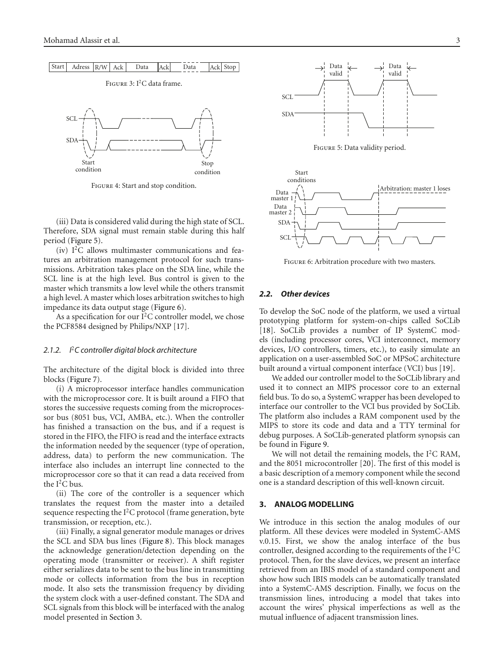

Figure 4: Start and stop condition.

(iii) Data is considered valid during the high state of SCL. Therefore, SDA signal must remain stable during this half period (Figure 5).

(iv) I2C allows multimaster communications and features an arbitration management protocol for such transmissions. Arbitration takes place on the SDA line, while the SCL line is at the high level. Bus control is given to the master which transmits a low level while the others transmit a high level. A master which loses arbitration switches to high impedance its data output stage (Figure 6).

As a specification for our  $I^2C$  controller model, we chose the PCF8584 designed by Philips/NXP [17].

# *2.1.2. I*2*C controller digital block architecture*

The architecture of the digital block is divided into three blocks (Figure 7).

(i) A microprocessor interface handles communication with the microprocessor core. It is built around a FIFO that stores the successive requests coming from the microprocessor bus (8051 bus, VCI, AMBA, etc.). When the controller has finished a transaction on the bus, and if a request is stored in the FIFO, the FIFO is read and the interface extracts the information needed by the sequencer (type of operation, address, data) to perform the new communication. The interface also includes an interrupt line connected to the microprocessor core so that it can read a data received from the  $I^2C$  bus.

(ii) The core of the controller is a sequencer which translates the request from the master into a detailed sequence respecting the  $I^2C$  protocol (frame generation, byte transmission, or reception, etc.).

(iii) Finally, a signal generator module manages or drives the SCL and SDA bus lines (Figure 8). This block manages the acknowledge generation/detection depending on the operating mode (transmitter or receiver). A shift register either serializes data to be sent to the bus line in transmitting mode or collects information from the bus in reception mode. It also sets the transmission frequency by dividing the system clock with a user-defined constant. The SDA and SCL signals from this block will be interfaced with the analog model presented in Section 3.



Figure 5: Data validity period.



FIGURE 6: Arbitration procedure with two masters.

### *2.2. Other devices*

To develop the SoC node of the platform, we used a virtual prototyping platform for system-on-chips called SoCLib [18]. SoCLib provides a number of IP SystemC models (including processor cores, VCI interconnect, memory devices, I/O controllers, timers, etc.), to easily simulate an application on a user-assembled SoC or MPSoC architecture built around a virtual component interface (VCI) bus [19].

We added our controller model to the SoCLib library and used it to connect an MIPS processor core to an external field bus. To do so, a SystemC wrapper has been developed to interface our controller to the VCI bus provided by SoCLib. The platform also includes a RAM component used by the MIPS to store its code and data and a TTY terminal for debug purposes. A SoCLib-generated platform synopsis can be found in Figure 9.

We will not detail the remaining models, the  $I<sup>2</sup>C$  RAM, and the 8051 microcontroller [20]. The first of this model is a basic description of a memory component while the second one is a standard description of this well-known circuit.

# **3. ANALOG MODELLING**

We introduce in this section the analog modules of our platform. All these devices were modeled in SystemC-AMS v.0.15. First, we show the analog interface of the bus controller, designed according to the requirements of the  $I<sup>2</sup>C$ protocol. Then, for the slave devices, we present an interface retrieved from an IBIS model of a standard component and show how such IBIS models can be automatically translated into a SystemC-AMS description. Finally, we focus on the transmission lines, introducing a model that takes into account the wires' physical imperfections as well as the mutual influence of adjacent transmission lines.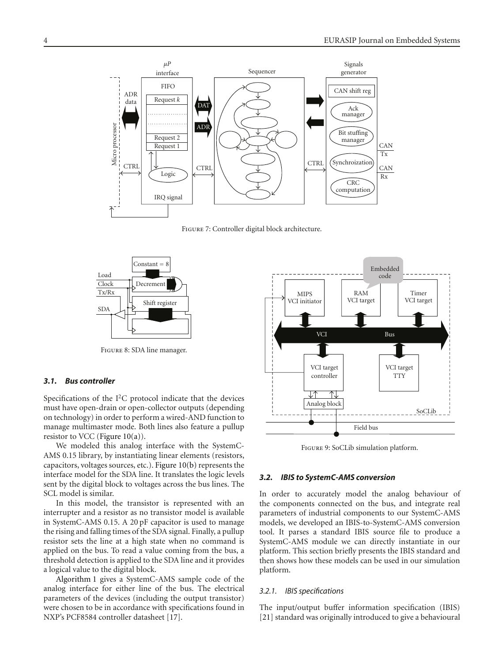

Figure 7: Controller digital block architecture.



Figure 8: SDA line manager.

#### *3.1. Bus controller*

Specifications of the  $I<sup>2</sup>C$  protocol indicate that the devices must have open-drain or open-collector outputs (depending on technology) in order to perform a wired-AND function to manage multimaster mode. Both lines also feature a pullup resistor to VCC (Figure  $10(a)$ ).

We modeled this analog interface with the SystemC-AMS 0.15 library, by instantiating linear elements (resistors, capacitors, voltages sources, etc.). Figure 10(b) represents the interface model for the SDA line. It translates the logic levels sent by the digital block to voltages across the bus lines. The SCL model is similar.

In this model, the transistor is represented with an interrupter and a resistor as no transistor model is available in SystemC-AMS 0.15. A 20 pF capacitor is used to manage the rising and falling times of the SDA signal. Finally, a pullup resistor sets the line at a high state when no command is applied on the bus. To read a value coming from the bus, a threshold detection is applied to the SDA line and it provides a logical value to the digital block.

Algorithm 1 gives a SystemC-AMS sample code of the analog interface for either line of the bus. The electrical parameters of the devices (including the output transistor) were chosen to be in accordance with specifications found in NXP's PCF8584 controller datasheet [17].



Figure 9: SoCLib simulation platform.

#### *3.2. IBIS to SystemC-AMS conversion*

In order to accurately model the analog behaviour of the components connected on the bus, and integrate real parameters of industrial components to our SystemC-AMS models, we developed an IBIS-to-SystemC-AMS conversion tool. It parses a standard IBIS source file to produce a SystemC-AMS module we can directly instantiate in our platform. This section briefly presents the IBIS standard and then shows how these models can be used in our simulation platform.

#### *3.2.1. IBIS specifications*

The input/output buffer information specification (IBIS) [21] standard was originally introduced to give a behavioural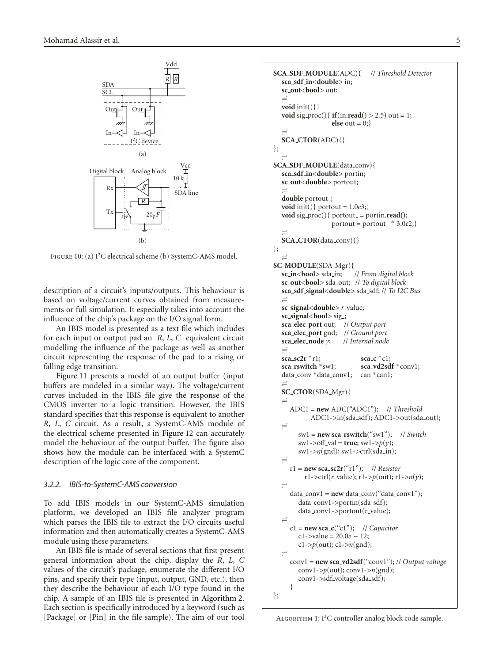

FIGURE 10: (a) I<sup>2</sup>C electrical scheme (b) SystemC-AMS model.

description of a circuit's inputs/outputs. This behaviour is based on voltage/current curves obtained from measurements or full simulation. It especially takes into account the influence of the chip's package on the I/O signal form.

An IBIS model is presented as a text file which includes for each input or output pad an *R*, *L*, *C* equivalent circuit modelling the influence of the package as well as another circuit representing the response of the pad to a rising or falling edge transition.

Figure 11 presents a model of an output buffer (input buffers are modeled in a similar way). The voltage/current curves included in the IBIS file give the response of the CMOS inverter to a logic transition. However, the IBIS standard specifies that this response is equivalent to another *R*, *L*, *C* circuit. As a result, a SystemC-AMS module of the electrical scheme presented in Figure 12 can accurately model the behaviour of the output buffer. The figure also shows how the module can be interfaced with a SystemC description of the logic core of the component.

# *3.2.2. IBIS-to-SystemC-AMS conversion*

To add IBIS models in our SystemC-AMS simulation platform, we developed an IBIS file analyzer program which parses the IBIS file to extract the I/O circuits useful information and then automatically creates a SystemC-AMS module using these parameters.

An IBIS file is made of several sections that first present general information about the chip, display the *R*, *L*, *C* values of the circuit's package, enumerate the different I/O pins, and specify their type (input, output, GND, etc.), then they describe the behaviour of each I/O type found in the chip. A sample of an IBIS file is presented in Algorithm 2. Each section is specifically introduced by a keyword (such as [Package] or [Pin] in the file sample). The aim of our tool

```
SCA SDF MODULE(ADC){ // Threshold Detector
  sca sdf in<double> in;
  sc out<bool> out;
   -
  void init(){}
  void sig_proc(){if(in.read() > 2.5) out = 1;else out = 0;}
   -
  SCA CTOR(ADC){}
};
   -
SCA SDF MODULE(data conv){
  sca sdf in<double> portin;
  sc out<double> portout;
   -
  double portout.;
  void init(){ portout = 1.0e3;}
  \text{void sig\_proc}(){ \text{portout\_} = \text{portin}.\text{read}();\text{portout} = \text{portout}<sub>+</sub> 3.0e2;}
   -
  SCA CTOR(data conv){}
};
   -
SC_MODULE(SDA_Mgr){<br>sc_in<br/>>bool> sda_in; // From digital block
  sc_in<br/>bool> sda_in;
  sc out<bool> sda out; // To digital block
  sca sdf signal<double> sda sdf; // To I2C Bus
   -
  sc_signal<double> r_value;
  sc signal<bool> sig ;
  sca elec port out; // Output port
  sca elec port gnd; // Ground port
  sca_elec_node y;
   -

  \text{sga}_2 \text{sgn}^* r1; \text{sga}_2 \text{sgn}^* c1;sca rswitch ∗sw1; sca vd2sdf ∗conv1;
  data conv ∗data conv1; can ∗can1;
  \equivSC CTOR(SDA Mgr){
   -

     ADC1 = new ADC("ADC1"); // Threshold
            ADC1->in(sda_sdf); ADC1->out(sda_out);
  \equivsw1 = new sca rswitch("sw1"); // Switch
        sw1->off_val = true; sw1->p(y);
        sw1->n(gnd); sw1->ctrl(sda in);
  \equivr1 = new sca_sc2r("r1"); // Resistor
          r1->ctrl(r value); r1->p(out); r1->n(y);
   -

     data_conv1 = new data_conv("data_conv1");
        data_conv1->portin(sda_sdf);
        data_conv1->portout(r_value);
   -

     c1 = new sca c("c1"); // Capacitor
        c1->value = 20.0e − 12;
        c1->p(out); c1->n(gnd);
   -

     conv1 = new sca vd2sdf("conv1"); // Output voltage
        conv1-\gg p(out); conv1-\gg n(gnd);
        conv1->sdf_voltage(sda_sdf);
      }
};
```
ALGORITHM 1:  $I<sup>2</sup>C$  controller analog block code sample.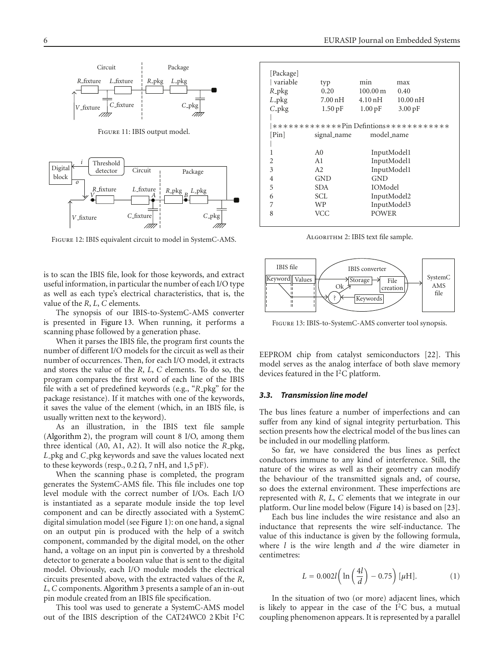

Figure 11: IBIS output model.



Figure 12: IBIS equivalent circuit to model in SystemC-AMS.

is to scan the IBIS file, look for those keywords, and extract useful information, in particular the number of each I/O type as well as each type's electrical characteristics, that is, the value of the *R*, *L*, *C* elements.

The synopsis of our IBIS-to-SystemC-AMS converter is presented in Figure 13. When running, it performs a scanning phase followed by a generation phase.

When it parses the IBIS file, the program first counts the number of different I/O models for the circuit as well as their number of occurrences. Then, for each I/O model, it extracts and stores the value of the *R*, *L*, *C* elements. To do so, the program compares the first word of each line of the IBIS file with a set of predefined keywords (e.g., "R<sub>-P</sub>kg" for the package resistance). If it matches with one of the keywords, it saves the value of the element (which, in an IBIS file, is usually written next to the keyword).

As an illustration, in the IBIS text file sample (Algorithm 2), the program will count 8 I/O, among them three identical (A0, A1, A2). It will also notice the *R* pkg, *L* pkg and *C* pkg keywords and save the values located next to these keywords (resp.,  $0.2 \Omega$ , 7 nH, and 1,5 pF).

When the scanning phase is completed, the program generates the SystemC-AMS file. This file includes one top level module with the correct number of I/Os. Each I/O is instantiated as a separate module inside the top level component and can be directly associated with a SystemC digital simulation model (see Figure 1): on one hand, a signal on an output pin is produced with the help of a switch component, commanded by the digital model, on the other hand, a voltage on an input pin is converted by a threshold detector to generate a boolean value that is sent to the digital model. Obviously, each I/O module models the electrical circuits presented above, with the extracted values of the *R*, *L*, *C* components. Algorithm 3 presents a sample of an in-out pin module created from an IBIS file specification.

This tool was used to generate a SystemC-AMS model out of the IBIS description of the CAT24WC0 2 Kbit I2C

| typ                                            | min                   | max                  |  |  |
|------------------------------------------------|-----------------------|----------------------|--|--|
| 0.20                                           | $100.00 \,\mathrm{m}$ | 0.40                 |  |  |
| 7.00 nH                                        | $4.10 \text{ nH}$     | $10.00\,\mathrm{nH}$ |  |  |
| $1.50$ pF                                      | $1.00 \,\mathrm{pF}$  | $3.00 \,\mathrm{pF}$ |  |  |
|                                                |                       |                      |  |  |
| $****************P$ in Defintions************* |                       |                      |  |  |
| signal_name                                    | model_name            |                      |  |  |
|                                                |                       |                      |  |  |
| A <sub>0</sub>                                 | InputModel1           |                      |  |  |
| A <sub>1</sub>                                 | InputModel1           |                      |  |  |
| A2                                             | InputModel1           |                      |  |  |
| <b>GND</b>                                     | GND                   |                      |  |  |
| <b>SDA</b>                                     | IOModel               |                      |  |  |
| SCL.                                           | InputModel2           |                      |  |  |
| <b>WP</b>                                      | InputModel3           |                      |  |  |
| VCC                                            | <b>POWER</b>          |                      |  |  |
|                                                |                       |                      |  |  |

ALGORITHM 2: IBIS text file sample.



Figure 13: IBIS-to-SystemC-AMS converter tool synopsis.

EEPROM chip from catalyst semiconductors [22]. This model serves as the analog interface of both slave memory devices featured in the I<sup>2</sup>C platform.

#### *3.3. Transmission line model*

The bus lines feature a number of imperfections and can suffer from any kind of signal integrity perturbation. This section presents how the electrical model of the bus lines can be included in our modelling platform.

So far, we have considered the bus lines as perfect conductors immune to any kind of interference. Still, the nature of the wires as well as their geometry can modify the behaviour of the transmitted signals and, of course, so does the external environment. These imperfections are represented with *R*, *L*, *C* elements that we integrate in our platform. Our line model below (Figure 14) is based on [23].

Each bus line includes the wire resistance and also an inductance that represents the wire self-inductance. The value of this inductance is given by the following formula, where *l* is the wire length and *d* the wire diameter in centimetres:

$$
L = 0.002l \left( \ln \left( \frac{4l}{d} \right) - 0.75 \right) [\mu \text{H}]. \tag{1}
$$

In the situation of two (or more) adjacent lines, which is likely to appear in the case of the  $I<sup>2</sup>C$  bus, a mutual coupling phenomenon appears. It is represented by a parallel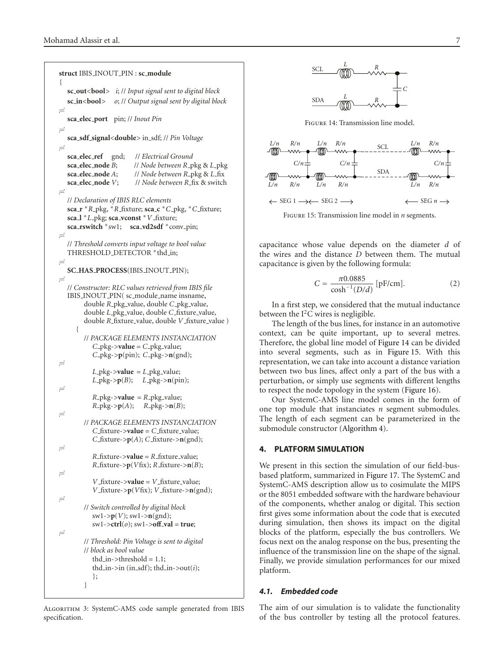```
struct IBIS INOUT PIN : sc module
{
  sc out<bool> i; // Input signal sent to digital block
  sc in<bool> o; // Output signal sent by digital block
\equivsca elec port pin; // Inout Pin
\equivsca sdf signal<double> in sdf; // Pin Voltage
\equivsca elec ref gnd; // Electrical Ground
  sca elec node B; // Node between R pkg & L pkg
  sca elec node A; // Node between R pkg & L fix
  sca elec node V; // Node between R fix & switch
\equiv// Declaration of IBIS RLC elements
  sca r ∗R pkg, ∗R fixture; sca c ∗C pkg, ∗C fixture;
  sca l ∗L pkg; sca vconst ∗V fixture;
  sca rswitch ∗sw1; sca vd2sdf ∗conv pin;
\equiv// Threshold converts input voltage to bool value
  THRESHOLD_DETECTOR *thd_in;
\equivSC HAS PROCESS(IBIS INOUT PIN);
-
  // Constructor: RLC values retrieved from IBIS file
  IBIS_INOUT_PIN( sc_module_name insname,
        double R pkg value, double C pkg value,
        double L pkg value, double C fixture value,
        double R_fixture_value, double V_fixture_value )
     {
        // PACKAGE ELEMENTS INSTANCIATION
           C_pkg-\gevalue = C_pkg_value;
           C pkg->p(pin); C pkg->n(gnd);
\equivL-pkg->value = L-pkg-value;
           L-pkg->p(B); L-pkg->n(pin);
\equivR pkg->value = R pkg value;
           R-pkg->p(A); R-pkg->n(B);
\equiv// PACKAGE ELEMENTS INSTANCIATION
           C fixture->value = C fixture value;
           C_fixture->p(A); C_fixture->n(gnd);
\equivR fixture->value = R fixture value;
           R<sub>-</sub>fixture-\geqp(Vfix); R<sub>-</sub>fixture-\geqn(B);
\equivV_ fixture->value = V_ fixture_value;
           V_ fixture->p(Vfix); V_ fixture->n(gnd);
\equiv// Switch controlled by digital block
           sw1->p(V); sw1->n(gnd);
           sw1->ctrl(o); sw1->off val = true;
\equiv// Threshold: Pin Voltage is sent to digital
        // block as bool value
           thd_in->threshold = 1.1;
           thd_in->in (in_sdf); thd_in->out(i);
           };
        }
```
ALGORITHM 3: SystemC-AMS code sample generated from IBIS specification.



Figure 14: Transmission line model.



Figure 15: Transmission line model in *n* segments.

capacitance whose value depends on the diameter *d* of the wires and the distance *D* between them. The mutual capacitance is given by the following formula:

$$
C = \frac{\pi 0.0885}{\cosh^{-1}(D/d)} [pF/cm].
$$
 (2)

In a first step, we considered that the mutual inductance between the  $I^2C$  wires is negligible.

The length of the bus lines, for instance in an automotive context, can be quite important, up to several metres. Therefore, the global line model of Figure 14 can be divided into several segments, such as in Figure 15. With this representation, we can take into account a distance variation between two bus lines, affect only a part of the bus with a perturbation, or simply use segments with different lengths to respect the node topology in the system (Figure 16).

Our SystemC-AMS line model comes in the form of one top module that instanciates *n* segment submodules. The length of each segment can be parameterized in the submodule constructor (Algorithm 4).

# **4. PLATFORM SIMULATION**

We present in this section the simulation of our field-busbased platform, summarized in Figure 17. The SystemC and SystemC-AMS description allow us to cosimulate the MIPS or the 8051 embedded software with the hardware behaviour of the components, whether analog or digital. This section first gives some information about the code that is executed during simulation, then shows its impact on the digital blocks of the platform, especially the bus controllers. We focus next on the analog response on the bus, presenting the influence of the transmission line on the shape of the signal. Finally, we provide simulation performances for our mixed platform.

# *4.1. Embedded code*

The aim of our simulation is to validate the functionality of the bus controller by testing all the protocol features.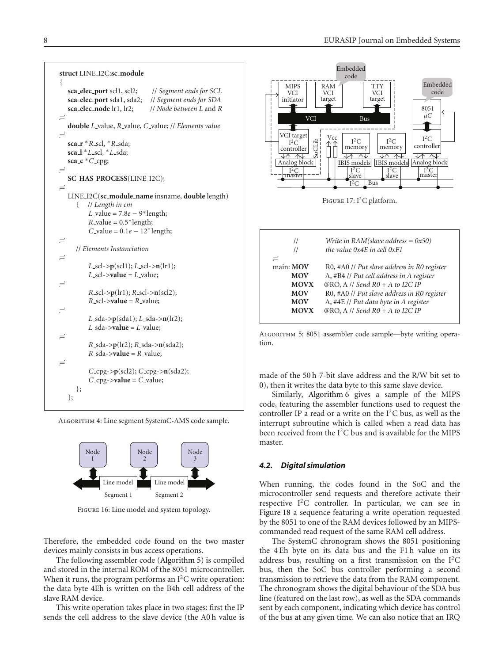```
struct LINE I2C:sc module
{
   sca elec port scl1, scl2; // Segment ends for SCL
   sca elec port sda1, sda2; // Segment ends for SDA
   sca elec node lr1, lr2; // Node between L and R
-

   double L value, R value, C value; // Elements value
-

   sca r ∗R scl, ∗R sda;
   sca l ∗L scl, ∗L sda;
   sca c ∗C cpg;
-

   SC HAS PROCESS(LINE I2C);
-

   LINE I2C(sc module name insname, double length)
      { // Length in cm
          L-value = 7.8e – 9<sup>*</sup>length;
          R-value = 0.5* length;
          C_value = 0.1e - 12* length;
-

     // Elements Instanciation
-

          L scl->p(scl1); L scl->n(lr1);
          L_scl->value = L_value;
-

          R scl->p(lr1); R scl->n(scl2);
          R<sub>-</sub>scl->value = R<sub>-</sub>value;
-

          L sda->p(sda1); L sda->n(lr2);
          L sda->value = L value;
\equivR sda->p(lr2); R sda->n(sda2);
          R<sub>-</sub>sda->value = R<sub>-</sub>value;
-

          C cpg->p(scl2); C cpg->n(sda2);
          C_ccpg->value = C_cvalue;
      };
   };
```
Algorithm 4: Line segment SystemC-AMS code sample.



FIGURE 16: Line model and system topology.

Therefore, the embedded code found on the two master devices mainly consists in bus access operations.

The following assembler code (Algorithm 5) is compiled and stored in the internal ROM of the 8051 microcontroller. When it runs, the program performs an I<sup>2</sup>C write operation: the data byte 4Eh is written on the B4h cell address of the slave RAM device.

This write operation takes place in two stages: first the IP sends the cell address to the slave device (the A0 h value is



tion.

made of the 50 h 7-bit slave address and the R/W bit set to 0), then it writes the data byte to this same slave device.

Similarly, Algorithm 6 gives a sample of the MIPS code, featuring the assembler functions used to request the controller IP a read or a write on the  $I<sup>2</sup>C$  bus, as well as the interrupt subroutine which is called when a read data has been received from the  $I<sup>2</sup>C$  bus and is available for the MIPS master.

# *4.2. Digital simulation*

When running, the codes found in the SoC and the microcontroller send requests and therefore activate their respective  $I^2C$  controller. In particular, we can see in Figure 18 a sequence featuring a write operation requested by the 8051 to one of the RAM devices followed by an MIPScommanded read request of the same RAM cell address.

The SystemC chronogram shows the 8051 positioning the 4 Eh byte on its data bus and the F1 h value on its address bus, resulting on a first transmission on the  $I<sup>2</sup>C$ bus, then the SoC bus controller performing a second transmission to retrieve the data from the RAM component. The chronogram shows the digital behaviour of the SDA bus line (featured on the last row), as well as the SDA commands sent by each component, indicating which device has control of the bus at any given time. We can also notice that an IRQ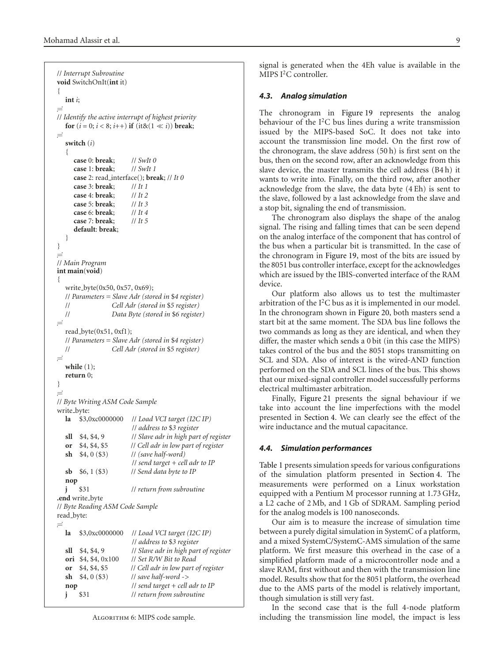```
// Interrupt Subroutine
void SwitchOnIt(int it)
{
  int i;
-

// Identify the active interrupt of highest priority
  for (i = 0; i < 8; i++) if (ik(1 \ll i)) break;
\equivswitch (i)
   {
     case 0: break; // SwIt 0
     case 1: break; // SwIt 1
     case 2: read interface(); break; // It 0
     case 3: break; // It 1
     case 4: break; // It 2
     case 5: break; // It 3
     case 6: break; // It 4
     case 7: break; // It 5
     default: break;
   }
}
\equiv// Main Program
int main(void)
{
  write byte(0x50, 0x57, 0x69);
  // Parameters = Slave Adr (stored in $4 register)
  // Cell Adr (stored in $5 register)
  // Data Byte (stored in $6 register)
\equivread byte(0x51, 0xf1);
  // Parameters = Slave Adr (stored in $4 register)
  // Cell Adr (stored in $5 register)
\equivwhile (1);
  return 0;
}
-

// Byte Writing ASM Code Sample
write_byte:
  la $3,0xc0000000 // Load VCI target (I2C IP)
                       // address to $3 register
  sll $4, $4, 9 // Slave adr in high part of register
  or $4, $4, $5 // Cell adr in low part of register
  sh $4, 0 ($3) // (save half-word)
                       // send target + cell adr to IP
  sb $6, 1 ($3) // Send data byte to IP
  nop
  j $31 // return from subroutine
.end write byte
// Byte Reading ASM Code Sample
read_byte:
\equivla $3,0xc0000000 // Load VCI target (I2C IP)
                       // address to $3 register
  sll $4, $4, 9 // Slave adr in high part of register
  ori $4, $4, 0x100 // Set R/W Bit to Read
  or $4, $4, $5 // Cell adr in low part of register
  sh $4, 0 ($3) // save half-word ->
  nop // send target + cell adr to IP
  j $31 // return from subroutine
```
ALGORITHM 6: MIPS code sample.

signal is generated when the 4Eh value is available in the MIPS I<sup>2</sup>C controller.

#### *4.3. Analog simulation*

The chronogram in Figure 19 represents the analog behaviour of the  $I<sup>2</sup>C$  bus lines during a write transmission issued by the MIPS-based SoC. It does not take into account the transmission line model. On the first row of the chronogram, the slave address (50 h) is first sent on the bus, then on the second row, after an acknowledge from this slave device, the master transmits the cell address (B4 h) it wants to write into. Finally, on the third row, after another acknowledge from the slave, the data byte (4 Eh) is sent to the slave, followed by a last acknowledge from the slave and a stop bit, signaling the end of transmission.

The chronogram also displays the shape of the analog signal. The rising and falling times that can be seen depend on the analog interface of the component that has control of the bus when a particular bit is transmitted. In the case of the chronogram in Figure 19, most of the bits are issued by the 8051 bus controller interface, except for the acknowledges which are issued by the IBIS-converted interface of the RAM device.

Our platform also allows us to test the multimaster arbitration of the  $I<sup>2</sup>C$  bus as it is implemented in our model. In the chronogram shown in Figure 20, both masters send a start bit at the same moment. The SDA bus line follows the two commands as long as they are identical, and when they differ, the master which sends a 0 bit (in this case the MIPS) takes control of the bus and the 8051 stops transmitting on SCL and SDA. Also of interest is the wired-AND function performed on the SDA and SCL lines of the bus. This shows that our mixed-signal controller model successfully performs electrical multimaster arbitration.

Finally, Figure 21 presents the signal behaviour if we take into account the line imperfections with the model presented in Section 4. We can clearly see the effect of the wire inductance and the mutual capacitance.

### *4.4. Simulation performances*

Table 1 presents simulation speeds for various configurations of the simulation platform presented in Section 4. The measurements were performed on a Linux workstation equipped with a Pentium M processor running at 1.73 GHz, a L2 cache of 2 Mb, and 1 Gb of SDRAM. Sampling period for the analog models is 100 nanoseconds.

Our aim is to measure the increase of simulation time between a purely digital simulation in SystemC of a platform, and a mixed SystemC/SystemC-AMS simulation of the same platform. We first measure this overhead in the case of a simplified platform made of a microcontroller node and a slave RAM, first without and then with the transmission line model. Results show that for the 8051 platform, the overhead due to the AMS parts of the model is relatively important, though simulation is still very fast.

In the second case that is the full 4-node platform including the transmission line model, the impact is less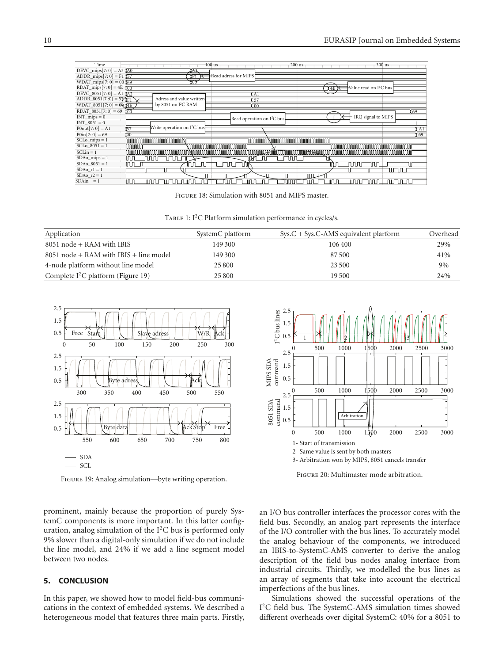

Figure 18: Simulation with 8051 and MIPS master.

TABLE 1: I<sup>2</sup>C Platform simulation performance in cycles/s.

| Application                              | SystemC platform | $Sys.C + Sys.C-AMS$ equivalent plarform | Overhead |
|------------------------------------------|------------------|-----------------------------------------|----------|
| $8051$ node + RAM with IBIS              | 149 300          | 106 400                                 | 29%      |
| $8051$ node + RAM with IBIS + line model | 149 300          | 87.500                                  | 41%      |
| 4-node platform without line model       | 25 800           | 23 500                                  | 9%       |
| Complete $I^2C$ platform (Figure 19)     | 25 800           | 19.500                                  | 24%      |



Figure 19: Analog simulation—byte writing operation.

prominent, mainly because the proportion of purely SystemC components is more important. In this latter configuration, analog simulation of the  $I<sup>2</sup>C$  bus is performed only 9% slower than a digital-only simulation if we do not include the line model, and 24% if we add a line segment model between two nodes.

# **5. CONCLUSION**

In this paper, we showed how to model field-bus communications in the context of embedded systems. We described a heterogeneous model that features three main parts. Firstly,



Figure 20: Multimaster mode arbitration.

an I/O bus controller interfaces the processor cores with the field bus. Secondly, an analog part represents the interface of the I/O controller with the bus lines. To accurately model the analog behaviour of the components, we introduced an IBIS-to-SystemC-AMS converter to derive the analog description of the field bus nodes analog interface from industrial circuits. Thirdly, we modelled the bus lines as an array of segments that take into account the electrical imperfections of the bus lines.

Simulations showed the successful operations of the I2C field bus. The SystemC-AMS simulation times showed different overheads over digital SystemC: 40% for a 8051 to